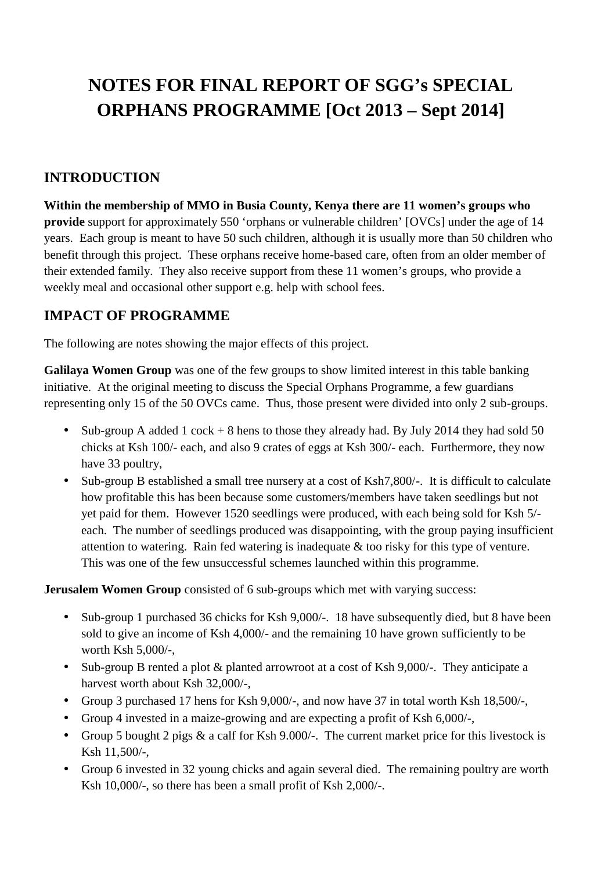## **NOTES FOR FINAL REPORT OF SGG's SPECIAL ORPHANS PROGRAMME [Oct 2013 – Sept 2014]**

## **INTRODUCTION**

**Within the membership of MMO in Busia County, Kenya there are 11 women's groups who provide** support for approximately 550 'orphans or vulnerable children' [OVCs] under the age of 14 years. Each group is meant to have 50 such children, although it is usually more than 50 children who benefit through this project. These orphans receive home-based care, often from an older member of their extended family. They also receive support from these 11 women's groups, who provide a weekly meal and occasional other support e.g. help with school fees.

## **IMPACT OF PROGRAMME**

The following are notes showing the major effects of this project.

**Galilaya Women Group** was one of the few groups to show limited interest in this table banking initiative. At the original meeting to discuss the Special Orphans Programme, a few guardians representing only 15 of the 50 OVCs came. Thus, those present were divided into only 2 sub-groups.

- Sub-group A added 1 cock  $+ 8$  hens to those they already had. By July 2014 they had sold 50 chicks at Ksh 100/- each, and also 9 crates of eggs at Ksh 300/- each. Furthermore, they now have 33 poultry,
- Sub-group B established a small tree nursery at a cost of Ksh7,800/-. It is difficult to calculate how profitable this has been because some customers/members have taken seedlings but not yet paid for them. However 1520 seedlings were produced, with each being sold for Ksh 5/ each. The number of seedlings produced was disappointing, with the group paying insufficient attention to watering. Rain fed watering is inadequate & too risky for this type of venture. This was one of the few unsuccessful schemes launched within this programme.

**Jerusalem Women Group** consisted of 6 sub-groups which met with varying success:

- Sub-group 1 purchased 36 chicks for Ksh 9,000/-. 18 have subsequently died, but 8 have been sold to give an income of Ksh 4,000/- and the remaining 10 have grown sufficiently to be worth Ksh 5,000/-,
- Sub-group B rented a plot & planted arrowroot at a cost of Ksh 9,000/-. They anticipate a harvest worth about Ksh 32,000/-,
- Group 3 purchased 17 hens for Ksh 9,000/-, and now have 37 in total worth Ksh 18,500/-,
- Group 4 invested in a maize-growing and are expecting a profit of Ksh 6,000/-,
- Group 5 bought 2 pigs & a calf for Ksh 9.000/-. The current market price for this livestock is Ksh 11,500/-,
- Group 6 invested in 32 young chicks and again several died. The remaining poultry are worth Ksh 10,000/-, so there has been a small profit of Ksh 2,000/-.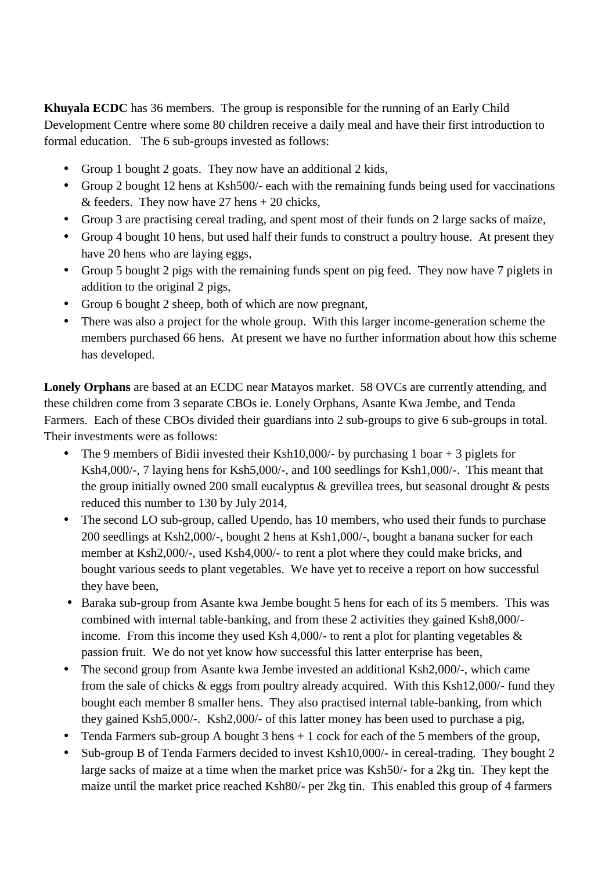**Khuyala ECDC** has 36 members. The group is responsible for the running of an Early Child Development Centre where some 80 children receive a daily meal and have their first introduction to formal education. The 6 sub-groups invested as follows:

- Group 1 bought 2 goats. They now have an additional 2 kids,
- Group 2 bought 12 hens at Ksh500/- each with the remaining funds being used for vaccinations & feeders. They now have  $27$  hens  $+ 20$  chicks,
- Group 3 are practising cereal trading, and spent most of their funds on 2 large sacks of maize,
- Group 4 bought 10 hens, but used half their funds to construct a poultry house. At present they have 20 hens who are laying eggs,
- Group 5 bought 2 pigs with the remaining funds spent on pig feed. They now have 7 piglets in addition to the original 2 pigs,
- Group 6 bought 2 sheep, both of which are now pregnant,
- There was also a project for the whole group. With this larger income-generation scheme the members purchased 66 hens. At present we have no further information about how this scheme has developed.

**Lonely Orphans** are based at an ECDC near Matayos market. 58 OVCs are currently attending, and these children come from 3 separate CBOs ie. Lonely Orphans, Asante Kwa Jembe, and Tenda Farmers. Each of these CBOs divided their guardians into 2 sub-groups to give 6 sub-groups in total. Their investments were as follows:

- The 9 members of Bidii invested their Ksh10,000/- by purchasing 1 boar  $+3$  piglets for Ksh4,000/-, 7 laying hens for Ksh5,000/-, and 100 seedlings for Ksh1,000/-. This meant that the group initially owned 200 small eucalyptus & grevillea trees, but seasonal drought & pests reduced this number to 130 by July 2014,
- The second LO sub-group, called Upendo, has 10 members, who used their funds to purchase 200 seedlings at Ksh2,000/-, bought 2 hens at Ksh1,000/-, bought a banana sucker for each member at Ksh2,000/-, used Ksh4,000/- to rent a plot where they could make bricks, and bought various seeds to plant vegetables. We have yet to receive a report on how successful they have been,
- Baraka sub-group from Asante kwa Jembe bought 5 hens for each of its 5 members. This was combined with internal table-banking, and from these 2 activities they gained Ksh8,000/ income. From this income they used Ksh 4,000/- to rent a plot for planting vegetables  $\&$ passion fruit. We do not yet know how successful this latter enterprise has been,
- The second group from Asante kwa Jembe invested an additional Ksh2,000/-, which came from the sale of chicks & eggs from poultry already acquired. With this Ksh12,000/- fund they bought each member 8 smaller hens. They also practised internal table-banking, from which they gained Ksh5,000/-. Ksh2,000/- of this latter money has been used to purchase a pig,
- Tenda Farmers sub-group A bought  $3$  hens  $+1$  cock for each of the  $5$  members of the group,
- Sub-group B of Tenda Farmers decided to invest Ksh10,000/- in cereal-trading. They bought 2 large sacks of maize at a time when the market price was Ksh50/- for a 2kg tin. They kept the maize until the market price reached Ksh80/- per 2kg tin. This enabled this group of 4 farmers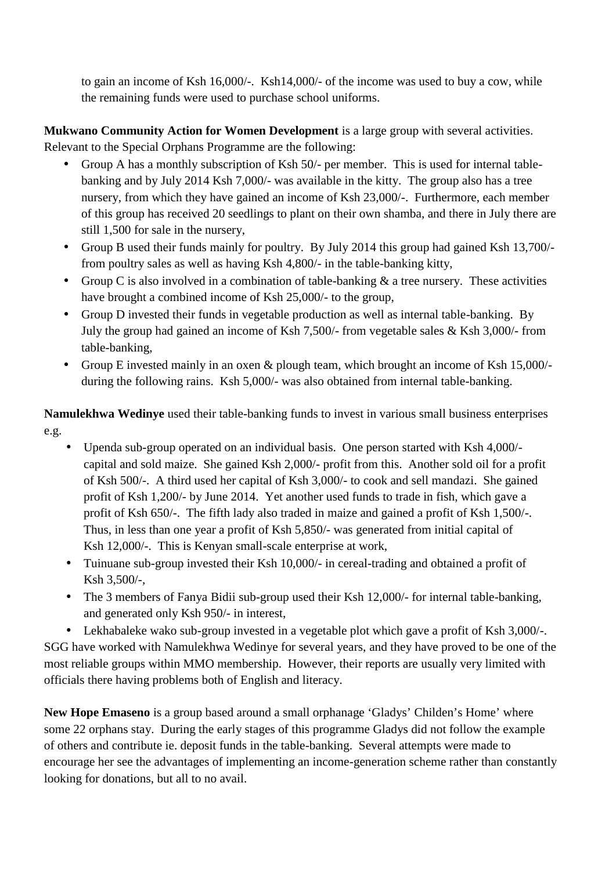to gain an income of Ksh 16,000/-. Ksh14,000/- of the income was used to buy a cow, while the remaining funds were used to purchase school uniforms.

**Mukwano Community Action for Women Development** is a large group with several activities. Relevant to the Special Orphans Programme are the following:

- Group A has a monthly subscription of Ksh 50/- per member. This is used for internal table banking and by July 2014 Ksh 7,000/- was available in the kitty. The group also has a tree nursery, from which they have gained an income of Ksh 23,000/-. Furthermore, each member of this group has received 20 seedlings to plant on their own shamba, and there in July there are still 1,500 for sale in the nursery,
- Group B used their funds mainly for poultry. By July 2014 this group had gained Ksh 13,700/ from poultry sales as well as having Ksh 4,800/- in the table-banking kitty,
- Group C is also involved in a combination of table-banking  $\&$  a tree nursery. These activities have brought a combined income of Ksh 25,000/- to the group,
- Group D invested their funds in vegetable production as well as internal table-banking. By July the group had gained an income of Ksh 7,500/- from vegetable sales & Ksh 3,000/- from table-banking,
- Group E invested mainly in an oxen & plough team, which brought an income of Ksh 15,000/ during the following rains. Ksh 5,000/- was also obtained from internal table-banking.

**Namulekhwa Wedinye** used their table-banking funds to invest in various small business enterprises e.g.

- Upenda sub-group operated on an individual basis. One person started with Ksh 4,000/ capital and sold maize. She gained Ksh 2,000/- profit from this. Another sold oil for a profit of Ksh 500/-. A third used her capital of Ksh 3,000/- to cook and sell mandazi. She gained profit of Ksh 1,200/- by June 2014. Yet another used funds to trade in fish, which gave a profit of Ksh 650/-. The fifth lady also traded in maize and gained a profit of Ksh 1,500/-. Thus, in less than one year a profit of Ksh 5,850/- was generated from initial capital of Ksh 12,000/-. This is Kenyan small-scale enterprise at work,
- Tuinuane sub-group invested their Ksh 10,000/- in cereal-trading and obtained a profit of Ksh 3,500/-,
- The 3 members of Fanya Bidii sub-group used their Ksh 12,000/- for internal table-banking, and generated only Ksh 950/- in interest,
- Lekhabaleke wako sub-group invested in a vegetable plot which gave a profit of Ksh 3,000/-.

SGG have worked with Namulekhwa Wedinye for several years, and they have proved to be one of the most reliable groups within MMO membership. However, their reports are usually very limited with officials there having problems both of English and literacy.

**New Hope Emaseno** is a group based around a small orphanage 'Gladys' Childen's Home' where some 22 orphans stay. During the early stages of this programme Gladys did not follow the example of others and contribute ie. deposit funds in the table-banking. Several attempts were made to encourage her see the advantages of implementing an income-generation scheme rather than constantly looking for donations, but all to no avail.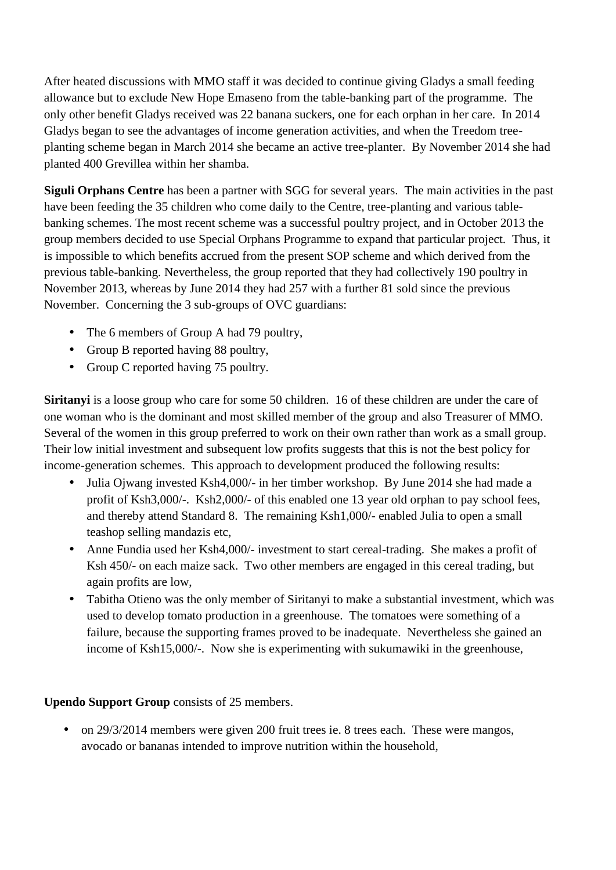After heated discussions with MMO staff it was decided to continue giving Gladys a small feeding allowance but to exclude New Hope Emaseno from the table-banking part of the programme. The only other benefit Gladys received was 22 banana suckers, one for each orphan in her care. In 2014 Gladys began to see the advantages of income generation activities, and when the Treedom tree planting scheme began in March 2014 she became an active tree-planter. By November 2014 she had planted 400 Grevillea within her shamba.

**Siguli Orphans Centre** has been a partner with SGG for several years. The main activities in the past have been feeding the 35 children who come daily to the Centre, tree-planting and various table banking schemes. The most recent scheme was a successful poultry project, and in October 2013 the group members decided to use Special Orphans Programme to expand that particular project. Thus, it is impossible to which benefits accrued from the present SOP scheme and which derived from the previous table-banking. Nevertheless, the group reported that they had collectively 190 poultry in November 2013, whereas by June 2014 they had 257 with a further 81 sold since the previous November. Concerning the 3 sub-groups of OVC guardians:

- The 6 members of Group A had 79 poultry,
- Group B reported having 88 poultry,
- Group C reported having 75 poultry.

**Siritanyi** is a loose group who care for some 50 children. 16 of these children are under the care of one woman who is the dominant and most skilled member of the group and also Treasurer of MMO. Several of the women in this group preferred to work on their own rather than work as a small group. Their low initial investment and subsequent low profits suggests that this is not the best policy for income-generation schemes. This approach to development produced the following results:

- Julia Ojwang invested Ksh4,000/- in her timber workshop. By June 2014 she had made a profit of Ksh3,000/-. Ksh2,000/- of this enabled one 13 year old orphan to pay school fees, and thereby attend Standard 8. The remaining Ksh1,000/- enabled Julia to open a small teashop selling mandazis etc,
- Anne Fundia used her Ksh4,000/- investment to start cereal-trading. She makes a profit of Ksh 450/- on each maize sack. Two other members are engaged in this cereal trading, but again profits are low,
- Tabitha Otieno was the only member of Siritanyi to make a substantial investment, which was used to develop tomato production in a greenhouse. The tomatoes were something of a failure, because the supporting frames proved to be inadequate. Nevertheless she gained an income of Ksh15,000/-. Now she is experimenting with sukumawiki in the greenhouse,

## **Upendo Support Group** consists of 25 members.

 on 29/3/2014 members were given 200 fruit trees ie. 8 trees each. These were mangos, avocado or bananas intended to improve nutrition within the household,